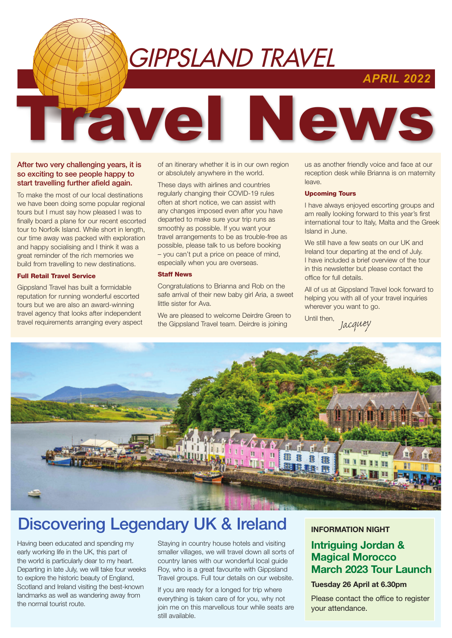# GIPPSLAND TRAVEL

Travel News

### *APRIL 2022*

#### After two very challenging years, it is so exciting to see people happy to start travelling further afield again.

To make the most of our local destinations we have been doing some popular regional tours but I must say how pleased I was to finally board a plane for our recent escorted tour to Norfolk Island. While short in length, our time away was packed with exploration and happy socialising and I think it was a great reminder of the rich memories we build from travelling to new destinations.

#### Full Retail Travel Service

Gippsland Travel has built a formidable reputation for running wonderful escorted tours but we are also an award-winning travel agency that looks after independent travel requirements arranging every aspect of an itinerary whether it is in our own region or absolutely anywhere in the world.

These days with airlines and countries regularly changing their COVID-19 rules often at short notice, we can assist with any changes imposed even after you have departed to make sure your trip runs as smoothly as possible. If you want your travel arrangements to be as trouble-free as possible, please talk to us before booking – you can't put a price on peace of mind, especially when you are overseas.

#### Staff News

Congratulations to Brianna and Rob on the safe arrival of their new baby girl Aria, a sweet little sister for Ava.

We are pleased to welcome Deirdre Green to the Gippsland Travel team. Deirdre is joining

us as another friendly voice and face at our reception desk while Brianna is on maternity leave.

#### Upcoming Tours

I have always enjoyed escorting groups and am really looking forward to this year's first international tour to Italy, Malta and the Greek Island in June.

We still have a few seats on our UK and Ireland tour departing at the end of July. I have included a brief overview of the tour in this newsletter but please contact the office for full details.

All of us at Gippsland Travel look forward to helping you with all of your travel inquiries wherever you want to go.

Until then, *Jacquey*



## Discovering Legendary UK & Ireland

Having been educated and spending my early working life in the UK, this part of the world is particularly dear to my heart. Departing in late July, we will take four weeks to explore the historic beauty of England, Scotland and Ireland visiting the best-known landmarks as well as wandering away from the normal tourist route.

Staying in country house hotels and visiting smaller villages, we will travel down all sorts of country lanes with our wonderful local guide Roy, who is a great favourite with Gippsland Travel groups. Full tour details on our website.

If you are ready for a longed for trip where everything is taken care of for you, why not join me on this marvellous tour while seats are still available.

#### INFORMATION NIGHT

### Intriguing Jordan & Magical Morocco March 2023 Tour Launch

#### Tuesday 26 April at 6.30pm

Please contact the office to register your attendance.